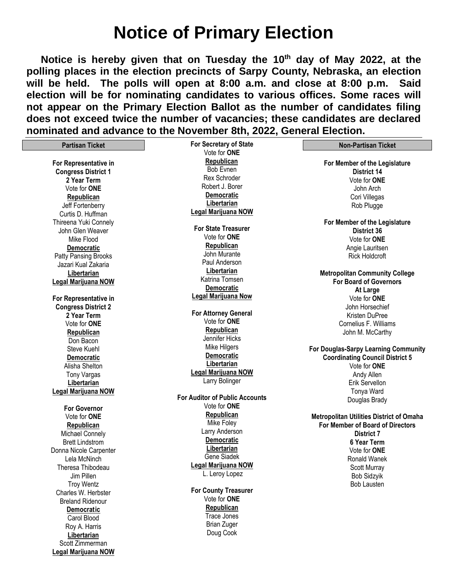# **Notice of Primary Election**

 **Notice is hereby given that on Tuesday the 10 th day of May 2022, at the polling places in the election precincts of Sarpy County, Nebraska, an election will be held. The polls will open at 8:00 a.m. and close at 8:00 p.m. Said election will be for nominating candidates to various offices. Some races will not appear on the Primary Election Ballot as the number of candidates filing does not exceed twice the number of vacancies; these candidates are declared nominated and advance to the November 8th, 2022, General Election.** 

| <b>Partisan Ticket</b>     | For Secretary of State                | <b>Non-Partisan Ticket</b>                      |
|----------------------------|---------------------------------------|-------------------------------------------------|
|                            | Vote for <b>ONE</b>                   |                                                 |
| For Representative in      | Republican                            | For Member of the Legislature                   |
| <b>Congress District 1</b> | Bob Evnen                             | District 14                                     |
| 2 Year Term                | Rex Schroder                          | Vote for ONE                                    |
| Vote for ONE               | Robert J. Borer                       | John Arch                                       |
| Republican                 | <b>Democratic</b>                     | Cori Villegas                                   |
| Jeff Fortenberry           | Libertarian                           | Rob Plugge                                      |
| Curtis D. Huffman          | Legal Marijuana NOW                   |                                                 |
| Thireena Yuki Connely      |                                       | For Member of the Legislature                   |
| John Glen Weaver           | <b>For State Treasurer</b>            | <b>District 36</b>                              |
| Mike Flood                 | Vote for ONE                          | Vote for <b>ONE</b>                             |
| <b>Democratic</b>          | Republican                            | Angie Lauritsen                                 |
| Patty Pansing Brooks       | John Murante                          | <b>Rick Holdcroft</b>                           |
| Jazari Kual Zakaria        | Paul Anderson                         |                                                 |
| Libertarian                | Libertarian                           | <b>Metropolitan Community College</b>           |
| Legal Marijuana NOW        | Katrina Tomsen                        | <b>For Board of Governors</b>                   |
|                            | <b>Democratic</b>                     | At Large                                        |
| For Representative in      | Legal Marijuana Now                   | Vote for ONE                                    |
| <b>Congress District 2</b> |                                       | John Horsechief                                 |
| 2 Year Term                | <b>For Attorney General</b>           | Kristen DuPree                                  |
| Vote for <b>ONE</b>        | Vote for ONE                          | Cornelius F. Williams                           |
| Republican                 | Republican                            | John M. McCarthy                                |
| Don Bacon                  | Jennifer Hicks                        |                                                 |
| <b>Steve Kuehl</b>         | Mike Hilgers                          | For Douglas-Sarpy Learning Community            |
| Democratic                 | <b>Democratic</b>                     | <b>Coordinating Council District 5</b>          |
| Alisha Shelton             | Libertarian                           | Vote for ONE                                    |
|                            | Legal Marijuana NOW                   |                                                 |
| <b>Tony Vargas</b>         | Larry Bolinger                        | Andy Allen                                      |
| Libertarian                |                                       | Erik Servellon                                  |
| Legal Marijuana NOW        | <b>For Auditor of Public Accounts</b> | Tonya Ward                                      |
|                            | Vote for ONE                          | Douglas Brady                                   |
| <b>For Governor</b>        | Republican                            |                                                 |
| Vote for ONE               | Mike Foley                            | <b>Metropolitan Utilities District of Omaha</b> |
| Republican                 | Larry Anderson                        | For Member of Board of Directors                |
| <b>Michael Connely</b>     | <b>Democratic</b>                     | <b>District 7</b>                               |
| <b>Brett Lindstrom</b>     | Libertarian                           | 6 Year Term                                     |
| Donna Nicole Carpenter     | Gene Siadek                           | Vote for ONE                                    |
| Lela McNinch               |                                       | Ronald Wanek                                    |
| Theresa Thibodeau          | Legal Marijuana NOW                   | Scott Murray                                    |
| Jim Pillen                 | L. Leroy Lopez                        | <b>Bob Sidzyik</b>                              |
| <b>Troy Wentz</b>          |                                       | <b>Bob Lausten</b>                              |
| Charles W. Herbster        | <b>For County Treasurer</b>           |                                                 |
| <b>Breland Ridenour</b>    | Vote for ONE                          |                                                 |
| Democratic                 | Republican                            |                                                 |
| Carol Blood                | Trace Jones                           |                                                 |
| Roy A. Harris              | <b>Brian Zuger</b>                    |                                                 |
| Libertarian                | Doug Cook                             |                                                 |
| Scott Zimmerman            |                                       |                                                 |
| Legal Marijuana NOW        |                                       |                                                 |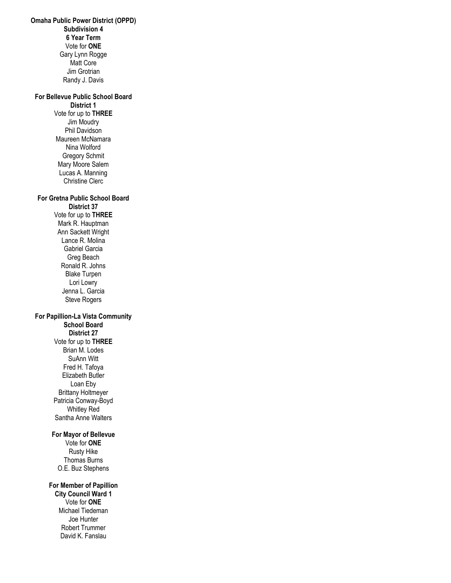**Omaha Public Power District (OPPD) Subdivision 4 6 Year Term** Vote for **ONE** Gary Lynn Rogge Matt Core Jim Grotrian Randy J. Davis **For Bellevue Public School Board District 1** Vote for up to **THREE** Jim Moudry Phil Davidson Maureen McNamara Nina Wolford Gregory Schmit Mary Moore Salem Lucas A. Manning Christine Clerc **For Gretna Public School Board District 37**  Vote for up to **THREE** Mark R. Hauptman Ann Sackett Wright Lance R. Molina Gabriel Garcia Greg Beach Ronald R. Johns Blake Turpen Lori Lowry Jenna L. Garcia Steve Rogers **For Papillion-La Vista Community School Board District 27** Vote for up to **THREE** Brian M. Lodes SuAnn Witt Fred H. Tafoya Elizabeth Butler Loan Eby Brittany Holtmeyer Patricia Conway-Boyd Whitley Red Santha Anne Walters **For Mayor of Bellevue** Vote for **ONE** Rusty Hike Thomas Burns O.E. Buz Stephens **For Member of Papillion City Council Ward 1** Vote for **ONE** Michael Tiedeman Joe Hunter Robert Trummer David K. Fanslau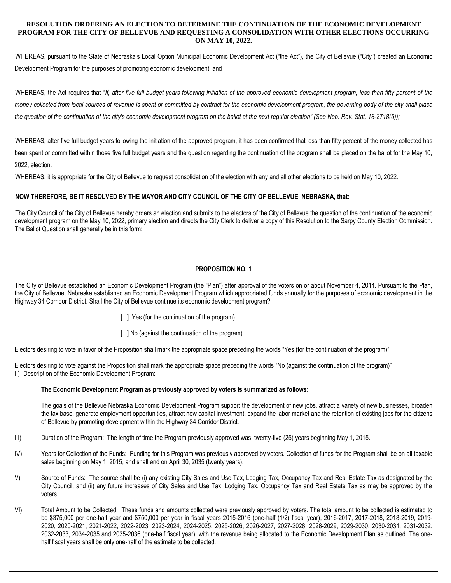## **RESOLUTION ORDERING AN ELECTION TO DETERMINE THE CONTINUATION OF THE ECONOMIC DEVELOPMENT PROGRAM FOR THE CITY OF BELLEVUE AND REQUESTING A CONSOLIDATION WITH OTHER ELECTIONS OCCURRING ON MAY 10, 2022.**

WHEREAS, pursuant to the State of Nebraska's Local Option Municipal Economic Development Act ("the Act"), the City of Bellevue ("City") created an Economic Development Program for the purposes of promoting economic development; and

WHEREAS, the Act requires that "*If, after five full budget years following initiation of the approved economic development program, less than fifty percent of the money collected from local sources of revenue is spent or committed by contract for the economic development program, the governing body of the city shall place the question of the continuation of the city's economic development program on the ballot at the next regular election" (See Neb. Rev. Stat. 18-2718(5));* 

WHEREAS, after five full budget years following the initiation of the approved program, it has been confirmed that less than fifty percent of the money collected has been spent or committed within those five full budget years and the question regarding the continuation of the program shall be placed on the ballot for the May 10, 2022, election.

WHEREAS, it is appropriate for the City of Bellevue to request consolidation of the election with any and all other elections to be held on May 10, 2022.

# **NOW THEREFORE, BE IT RESOLVED BY THE MAYOR AND CITY COUNCIL OF THE CITY OF BELLEVUE, NEBRASKA, that:**

The City Council of the City of Bellevue hereby orders an election and submits to the electors of the City of Bellevue the question of the continuation of the economic development program on the May 10, 2022, primary election and directs the City Clerk to deliver a copy of this Resolution to the Sarpy County Election Commission. The Ballot Question shall generally be in this form:

# **PROPOSITION NO. 1**

The City of Bellevue established an Economic Development Program (the "Plan") after approval of the voters on or about November 4, 2014. Pursuant to the Plan, the City of Bellevue, Nebraska established an Economic Development Program which appropriated funds annually for the purposes of economic development in the Highway 34 Corridor District. Shall the City of Bellevue continue its economic development program?

- [ ] Yes (for the continuation of the program)
- [ ] No (against the continuation of the program)

Electors desiring to vote in favor of the Proposition shall mark the appropriate space preceding the words "Yes (for the continuation of the program)"

Electors desiring to vote against the Proposition shall mark the appropriate space preceding the words "No (against the continuation of the program)" I) Description of the Economic Development Program:

### **The Economic Development Program as previously approved by voters is summarized as follows:**

The goals of the Bellevue Nebraska Economic Development Program support the development of new jobs, attract a variety of new businesses, broaden the tax base, generate employment opportunities, attract new capital investment, expand the labor market and the retention of existing jobs for the citizens of Bellevue by promoting development within the Highway 34 Corridor District.

- III) Duration of the Program: The length of time the Program previously approved was twenty-five (25) years beginning May 1, 2015.
- IV) Years for Collection of the Funds: Funding for this Program was previously approved by voters. Collection of funds for the Program shall be on all taxable sales beginning on May 1, 2015, and shall end on April 30, 2035 (twenty years).
- V) Source of Funds: The source shall be (i) any existing City Sales and Use Tax, Lodging Tax, Occupancy Tax and Real Estate Tax as designated by the City Council, and (ii) any future increases of City Sales and Use Tax, Lodging Tax, Occupancy Tax and Real Estate Tax as may be approved by the voters.
- VI) Total Amount to be Collected: These funds and amounts collected were previously approved by voters. The total amount to be collected is estimated to be \$375,000 per one-half year and \$750,000 per year in fiscal years 2015-2016 (one-half (1/2) fiscal year), 2016-2017, 2017-2018, 2018-2019, 2019- 2020, 2020-2021, 2021-2022, 2022-2023, 2023-2024, 2024-2025, 2025-2026, 2026-2027, 2027-2028, 2028-2029, 2029-2030, 2030-2031, 2031-2032, 2032-2033, 2034-2035 and 2035-2036 (one-half fiscal year), with the revenue being allocated to the Economic Development Plan as outlined. The onehalf fiscal years shall be only one-half of the estimate to be collected.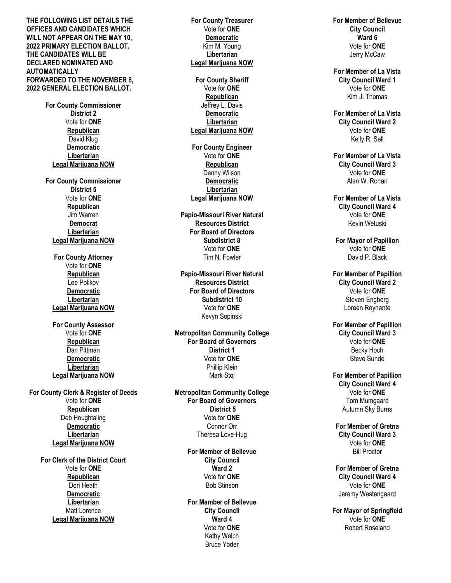**THE FOLLOWING LIST DETAILS THE OFFICES AND CANDIDATES WHICH WILL NOT APPEAR ON THE MAY 1 0 , 2022 PRIMARY ELECTION BALLOT. THE CANDIDATES WILL BE DECLARED NOMINATED AND AUTOMATICALLY FORWARDED TO THE NOVEMBER 8, 2022 GENERAL ELECTION BALLOT .**

> **For County Com missioner District 2** Vote for **ONE Republican** David Klug **Democratic Libertarian Legal M arijuana NOW**

**For County Commissioner District 5** Vote for **ONE Republican** Jim Warren **Democrat Libertarian Legal M arijuana NOW**

**For County Attorney** Vote for **ONE Republic a n** Lee Polikov **Democratic Libertarian Legal Marijuana NOW**

**For County Assessor** Vote for **ONE Republican** Dan Pittman **Democratic Libertarian Legal Marijuana NOW**

**For County Clerk & Register o f Deed s** Vote for **ONE Republican** Deb Houghtaling **Democratic Libertarian Legal Marijuana NOW**

> **For Clerk of the District Court** Vote for **ONE Republican** Dori Heath **Democratic Libertarian** Matt Lorence **Legal M arijuana NOW**

**For County Treasurer** Vote for **ONE Democrati c** Kim M. Youn g **Libertarian Legal Marijuana NOW For County Sheriff** Vote for **ONE Republican** Jeffrey L. Davi s **Democratic Libertarian L egal M arijuana NOW For C ounty Engineer** Vote for **ONE Republican**  Denny Wilson **Democratic Libertarian Legal Marijuana NOW Papio -Missouri River Natural Resources Distric t For Board of Directors Subdistrict 8** Vote for **ONE** Tim N. Fowler **Papi o - M issouri River Natural Resources District For Board of Directors Subdistrict 1 0** Vote for **ONE** Kevyn Sopinski **Metropolitan Community College For Board of Gove rnors District 1** Vote for **ONE** Phillip Klei n Mark Stoj **Metropolitan Community College For Board of Gove rnor s District 5** Vote for **ONE** Connor Orr Theresa Love -Hug **For Member of B ellevue City Council Ward 2** Vote for **ONE** Bob Stinson **For Member of Bellevue City Council Ward 4** Vote for **ONE** Kathy Welc h

Bruce Yoder

**For Member of Bellevue City Council Ward 6** Vote for **ON E** Jerry McCaw **For Member of La Vista City Council Ward 1** Vote for **ONE** Kim J. Thomas **For Memb er of La Vista City Council Ward 2** Vote for **ONE** Kelly R. Sell **For Member of La Vista City Council Ward 3** Vote for **ONE** Alan W. Ronan **Fo r Member of La Vista City Council Ward 4** Vote for **ONE** Kevin Wetuski **For Mayor of Papillion** Vote for **ONE** David P. Black **For Member of Papillio n City Council Ward 2** Vote for **ONE** Steven Engberg Loreen Reynante **For Member of Papillion Cit y Council Ward 3** Vote for **ONE** Beck y Hoch Steve Sunde **For Mem ber of Papillion City Council Ward 4** Vote for **ONE** Tom Mumgaard Autumn Sky Burns **For Member of G retna City Council Ward 3** Vote for **ONE** Bill Proctor

**For Member of Gretna City Council Ward 4** Vote for **ON E** Jeremy Westengaard

**For Mayor of Springfield** Vote for **ON E** Robert Roseland